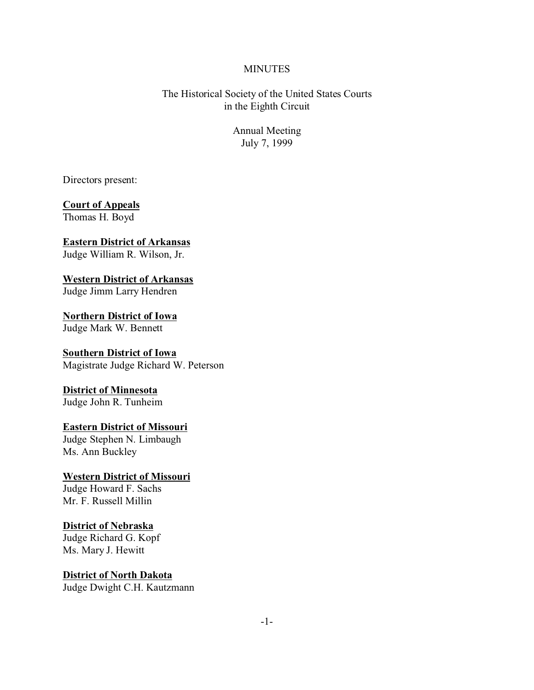#### **MINUTES**

The Historical Society of the United States Courts in the Eighth Circuit

> Annual Meeting July 7, 1999

Directors present:

# **Court of Appeals**

Thomas H. Boyd

#### **Eastern District of Arkansas** Judge William R. Wilson, Jr.

**Western District of Arkansas** Judge Jimm Larry Hendren

**Northern District of Iowa** Judge Mark W. Bennett

#### **Southern District of Iowa** Magistrate Judge Richard W. Peterson

# **District of Minnesota**

Judge John R. Tunheim

# **Eastern District of Missouri**

Judge Stephen N. Limbaugh Ms. Ann Buckley

#### **Western District of Missouri** Judge Howard F. Sachs

Mr. F. Russell Millin

# **District of Nebraska**

Judge Richard G. Kopf Ms. Mary J. Hewitt

# **District of North Dakota**

Judge Dwight C.H. Kautzmann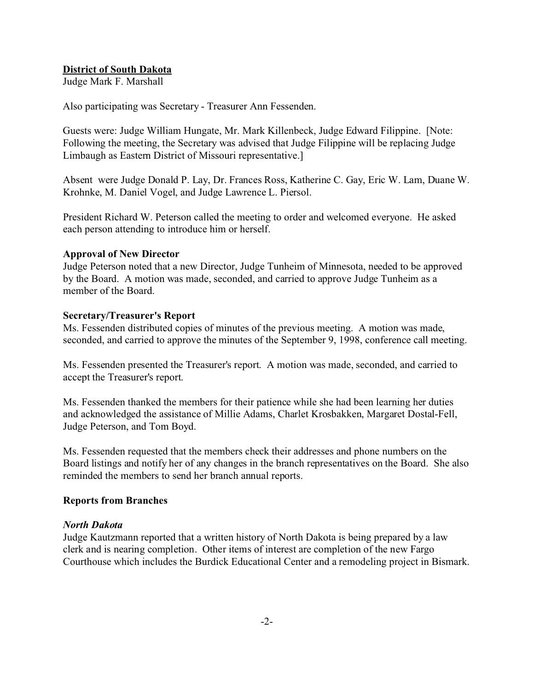## **District of South Dakota**

Judge Mark F. Marshall

Also participating was Secretary - Treasurer Ann Fessenden.

Guests were: Judge William Hungate, Mr. Mark Killenbeck, Judge Edward Filippine. [Note: Following the meeting, the Secretary was advised that Judge Filippine will be replacing Judge Limbaugh as Eastern District of Missouri representative.]

Absent were Judge Donald P. Lay, Dr. Frances Ross, Katherine C. Gay, Eric W. Lam, Duane W. Krohnke, M. Daniel Vogel, and Judge Lawrence L. Piersol.

President Richard W. Peterson called the meeting to order and welcomed everyone. He asked each person attending to introduce him or herself.

## **Approval of New Director**

Judge Peterson noted that a new Director, Judge Tunheim of Minnesota, needed to be approved by the Board. A motion was made, seconded, and carried to approve Judge Tunheim as a member of the Board.

#### **Secretary/Treasurer's Report**

Ms. Fessenden distributed copies of minutes of the previous meeting. A motion was made, seconded, and carried to approve the minutes of the September 9, 1998, conference call meeting.

Ms. Fessenden presented the Treasurer's report. A motion was made, seconded, and carried to accept the Treasurer's report.

Ms. Fessenden thanked the members for their patience while she had been learning her duties and acknowledged the assistance of Millie Adams, Charlet Krosbakken, Margaret Dostal-Fell, Judge Peterson, and Tom Boyd.

Ms. Fessenden requested that the members check their addresses and phone numbers on the Board listings and notify her of any changes in the branch representatives on the Board. She also reminded the members to send her branch annual reports.

## **Reports from Branches**

#### *North Dakota*

Judge Kautzmann reported that a written history of North Dakota is being prepared by a law clerk and is nearing completion. Other items of interest are completion of the new Fargo Courthouse which includes the Burdick Educational Center and a remodeling project in Bismark.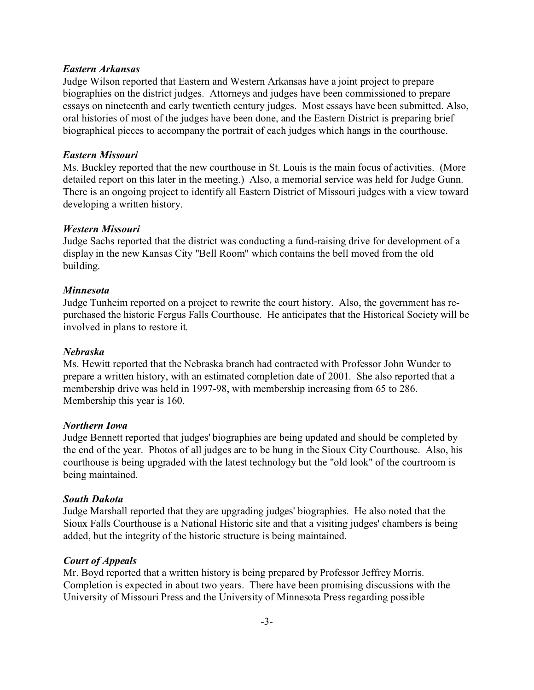#### *Eastern Arkansas*

Judge Wilson reported that Eastern and Western Arkansas have a joint project to prepare biographies on the district judges. Attorneys and judges have been commissioned to prepare essays on nineteenth and early twentieth century judges. Most essays have been submitted. Also, oral histories of most of the judges have been done, and the Eastern District is preparing brief biographical pieces to accompany the portrait of each judges which hangs in the courthouse.

## *Eastern Missouri*

Ms. Buckley reported that the new courthouse in St. Louis is the main focus of activities. (More detailed report on this later in the meeting.) Also, a memorial service was held for Judge Gunn. There is an ongoing project to identify all Eastern District of Missouri judges with a view toward developing a written history.

## *Western Missouri*

Judge Sachs reported that the district was conducting a fund-raising drive for development of a display in the new Kansas City "Bell Room" which contains the bell moved from the old building.

## *Minnesota*

Judge Tunheim reported on a project to rewrite the court history. Also, the government has repurchased the historic Fergus Falls Courthouse. He anticipates that the Historical Society will be involved in plans to restore it.

## *Nebraska*

Ms. Hewitt reported that the Nebraska branch had contracted with Professor John Wunder to prepare a written history, with an estimated completion date of 2001. She also reported that a membership drive was held in 1997-98, with membership increasing from 65 to 286. Membership this year is 160.

## *Northern Iowa*

Judge Bennett reported that judges' biographies are being updated and should be completed by the end of the year. Photos of all judges are to be hung in the Sioux City Courthouse. Also, his courthouse is being upgraded with the latest technology but the "old look" of the courtroom is being maintained.

## *South Dakota*

Judge Marshall reported that they are upgrading judges' biographies. He also noted that the Sioux Falls Courthouse is a National Historic site and that a visiting judges' chambers is being added, but the integrity of the historic structure is being maintained.

# *Court of Appeals*

Mr. Boyd reported that a written history is being prepared by Professor Jeffrey Morris. Completion is expected in about two years. There have been promising discussions with the University of Missouri Press and the University of Minnesota Press regarding possible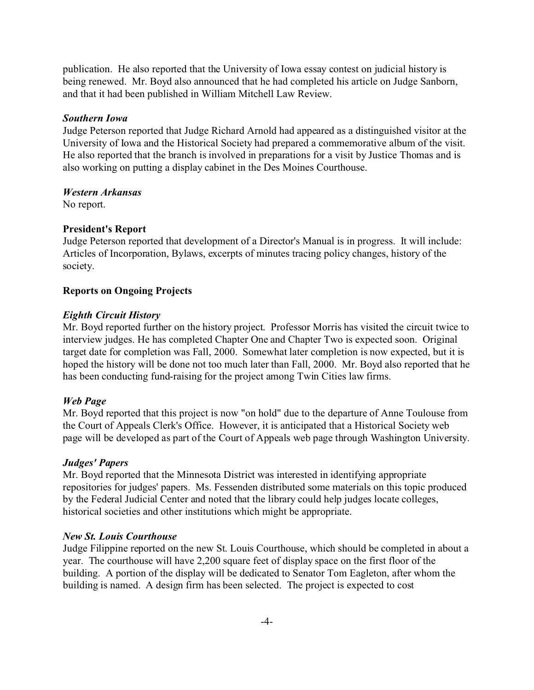publication. He also reported that the University of Iowa essay contest on judicial history is being renewed. Mr. Boyd also announced that he had completed his article on Judge Sanborn, and that it had been published in William Mitchell Law Review.

## *Southern Iowa*

Judge Peterson reported that Judge Richard Arnold had appeared as a distinguished visitor at the University of Iowa and the Historical Society had prepared a commemorative album of the visit. He also reported that the branch is involved in preparations for a visit by Justice Thomas and is also working on putting a display cabinet in the Des Moines Courthouse.

## *Western Arkansas*

No report.

# **President's Report**

Judge Peterson reported that development of a Director's Manual is in progress. It will include: Articles of Incorporation, Bylaws, excerpts of minutes tracing policy changes, history of the society.

# **Reports on Ongoing Projects**

## *Eighth Circuit History*

Mr. Boyd reported further on the history project. Professor Morris has visited the circuit twice to interview judges. He has completed Chapter One and Chapter Two is expected soon. Original target date for completion was Fall, 2000. Somewhat later completion is now expected, but it is hoped the history will be done not too much later than Fall, 2000. Mr. Boyd also reported that he has been conducting fund-raising for the project among Twin Cities law firms.

# *Web Page*

Mr. Boyd reported that this project is now "on hold" due to the departure of Anne Toulouse from the Court of Appeals Clerk's Office. However, it is anticipated that a Historical Society web page will be developed as part of the Court of Appeals web page through Washington University.

## *Judges' Papers*

Mr. Boyd reported that the Minnesota District was interested in identifying appropriate repositories for judges' papers. Ms. Fessenden distributed some materials on this topic produced by the Federal Judicial Center and noted that the library could help judges locate colleges, historical societies and other institutions which might be appropriate.

# *New St. Louis Courthouse*

Judge Filippine reported on the new St. Louis Courthouse, which should be completed in about a year. The courthouse will have 2,200 square feet of display space on the first floor of the building. A portion of the display will be dedicated to Senator Tom Eagleton, after whom the building is named. A design firm has been selected. The project is expected to cost